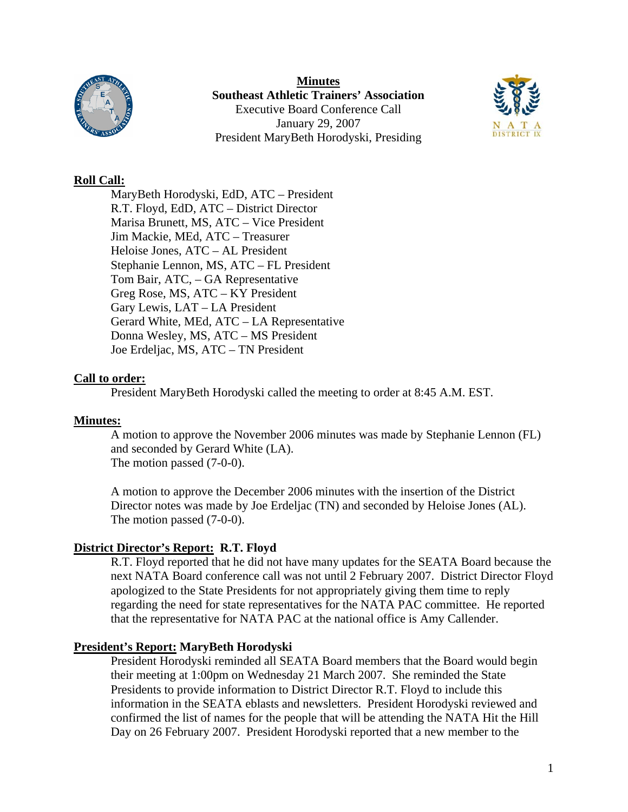

**Minutes Southeast Athletic Trainers' Association**  Executive Board Conference Call January 29, 2007 President MaryBeth Horodyski, Presiding



### **Roll Call:**

 MaryBeth Horodyski, EdD, ATC – President R.T. Floyd, EdD, ATC – District Director Marisa Brunett, MS, ATC – Vice President Jim Mackie, MEd, ATC – Treasurer Heloise Jones, ATC – AL President Stephanie Lennon, MS, ATC – FL President Tom Bair, ATC, – GA Representative Greg Rose, MS, ATC – KY President Gary Lewis, LAT – LA President Gerard White, MEd, ATC – LA Representative Donna Wesley, MS, ATC – MS President Joe Erdeljac, MS, ATC – TN President

### **Call to order:**

President MaryBeth Horodyski called the meeting to order at 8:45 A.M. EST.

# **Minutes:**

A motion to approve the November 2006 minutes was made by Stephanie Lennon (FL) and seconded by Gerard White (LA). The motion passed (7-0-0).

A motion to approve the December 2006 minutes with the insertion of the District Director notes was made by Joe Erdeljac (TN) and seconded by Heloise Jones (AL). The motion passed (7-0-0).

# **District Director's Report: R.T. Floyd**

R.T. Floyd reported that he did not have many updates for the SEATA Board because the next NATA Board conference call was not until 2 February 2007. District Director Floyd apologized to the State Presidents for not appropriately giving them time to reply regarding the need for state representatives for the NATA PAC committee. He reported that the representative for NATA PAC at the national office is Amy Callender.

# **President's Report: MaryBeth Horodyski**

President Horodyski reminded all SEATA Board members that the Board would begin their meeting at 1:00pm on Wednesday 21 March 2007. She reminded the State Presidents to provide information to District Director R.T. Floyd to include this information in the SEATA eblasts and newsletters. President Horodyski reviewed and confirmed the list of names for the people that will be attending the NATA Hit the Hill Day on 26 February 2007. President Horodyski reported that a new member to the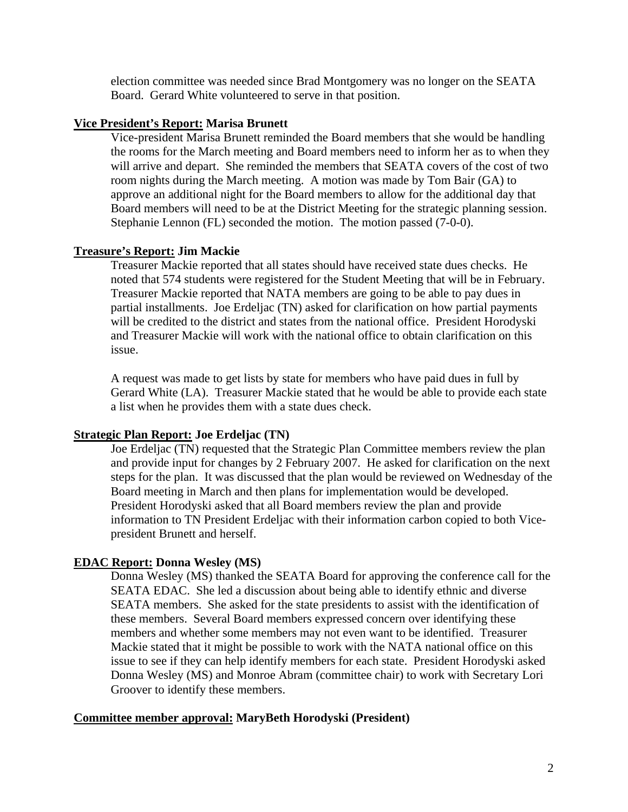election committee was needed since Brad Montgomery was no longer on the SEATA Board. Gerard White volunteered to serve in that position.

#### **Vice President's Report: Marisa Brunett**

Vice-president Marisa Brunett reminded the Board members that she would be handling the rooms for the March meeting and Board members need to inform her as to when they will arrive and depart. She reminded the members that SEATA covers of the cost of two room nights during the March meeting. A motion was made by Tom Bair (GA) to approve an additional night for the Board members to allow for the additional day that Board members will need to be at the District Meeting for the strategic planning session. Stephanie Lennon (FL) seconded the motion. The motion passed (7-0-0).

#### **Treasure's Report: Jim Mackie**

Treasurer Mackie reported that all states should have received state dues checks. He noted that 574 students were registered for the Student Meeting that will be in February. Treasurer Mackie reported that NATA members are going to be able to pay dues in partial installments. Joe Erdeljac (TN) asked for clarification on how partial payments will be credited to the district and states from the national office. President Horodyski and Treasurer Mackie will work with the national office to obtain clarification on this issue.

A request was made to get lists by state for members who have paid dues in full by Gerard White (LA). Treasurer Mackie stated that he would be able to provide each state a list when he provides them with a state dues check.

#### **Strategic Plan Report: Joe Erdeljac (TN)**

Joe Erdeljac (TN) requested that the Strategic Plan Committee members review the plan and provide input for changes by 2 February 2007. He asked for clarification on the next steps for the plan. It was discussed that the plan would be reviewed on Wednesday of the Board meeting in March and then plans for implementation would be developed. President Horodyski asked that all Board members review the plan and provide information to TN President Erdeljac with their information carbon copied to both Vicepresident Brunett and herself.

#### **EDAC Report: Donna Wesley (MS)**

Donna Wesley (MS) thanked the SEATA Board for approving the conference call for the SEATA EDAC. She led a discussion about being able to identify ethnic and diverse SEATA members. She asked for the state presidents to assist with the identification of these members. Several Board members expressed concern over identifying these members and whether some members may not even want to be identified. Treasurer Mackie stated that it might be possible to work with the NATA national office on this issue to see if they can help identify members for each state. President Horodyski asked Donna Wesley (MS) and Monroe Abram (committee chair) to work with Secretary Lori Groover to identify these members.

#### **Committee member approval: MaryBeth Horodyski (President)**